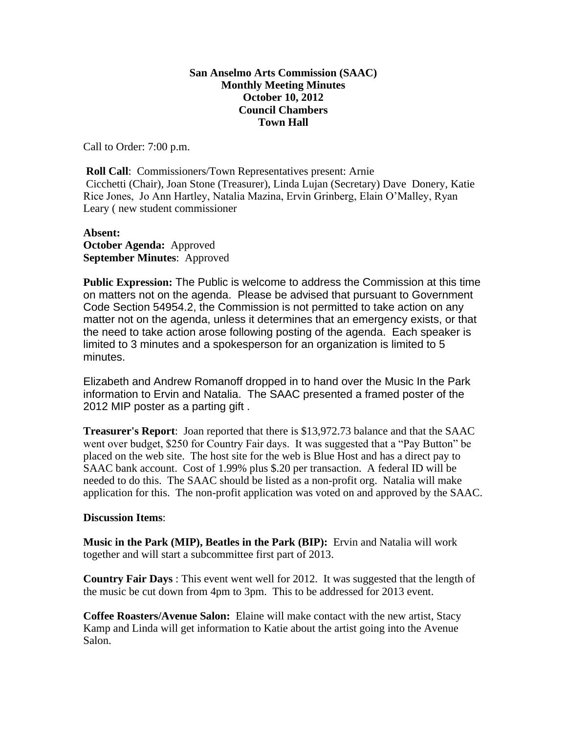## **San Anselmo Arts Commission (SAAC) Monthly Meeting Minutes October 10, 2012 Council Chambers Town Hall**

Call to Order: 7:00 p.m.

**Roll Call:** Commissioners/Town Representatives present: Arnie Cicchetti (Chair), Joan Stone (Treasurer), Linda Lujan (Secretary) Dave Donery, Katie Rice Jones, Jo Ann Hartley, Natalia Mazina, Ervin Grinberg, Elain O'Malley, Ryan Leary ( new student commissioner

## **Absent: October Agenda:** Approved **September Minutes**: Approved

**Public Expression:** The Public is welcome to address the Commission at this time on matters not on the agenda. Please be advised that pursuant to Government Code Section 54954.2, the Commission is not permitted to take action on any matter not on the agenda, unless it determines that an emergency exists, or that the need to take action arose following posting of the agenda. Each speaker is limited to 3 minutes and a spokesperson for an organization is limited to 5 minutes.

Elizabeth and Andrew Romanoff dropped in to hand over the Music In the Park information to Ervin and Natalia. The SAAC presented a framed poster of the 2012 MIP poster as a parting gift .

**Treasurer's Report**: Joan reported that there is \$13,972.73 balance and that the SAAC went over budget, \$250 for Country Fair days. It was suggested that a "Pay Button" be placed on the web site. The host site for the web is Blue Host and has a direct pay to SAAC bank account. Cost of 1.99% plus \$.20 per transaction. A federal ID will be needed to do this. The SAAC should be listed as a non-profit org. Natalia will make application for this. The non-profit application was voted on and approved by the SAAC.

## **Discussion Items**:

**Music in the Park (MIP), Beatles in the Park (BIP):** Ervin and Natalia will work together and will start a subcommittee first part of 2013.

**Country Fair Days** : This event went well for 2012. It was suggested that the length of the music be cut down from 4pm to 3pm. This to be addressed for 2013 event.

**Coffee Roasters/Avenue Salon:** Elaine will make contact with the new artist, Stacy Kamp and Linda will get information to Katie about the artist going into the Avenue Salon.